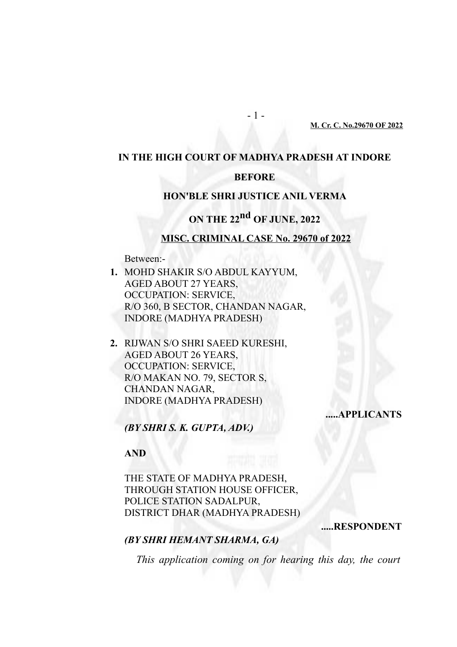#### **M. Cr. C. No.29670 OF 2022**

# **IN THE HIGH COURT OF MADHYA PRADESH AT INDORE**

## **BEFORE**

### **HON'BLE SHRI JUSTICE ANIL VERMA**

# **ON THE 22nd OF JUNE, 2022**

#### **MISC. CRIMINAL CASE No. 29670 of 2022**

Between:-

- **1.** MOHD SHAKIR S/O ABDUL KAYYUM, AGED ABOUT 27 YEARS, OCCUPATION: SERVICE, R/O 360, B SECTOR, CHANDAN NAGAR, INDORE (MADHYA PRADESH)
- **2.** RIJWAN S/O SHRI SAEED KURESHI, AGED ABOUT 26 YEARS, OCCUPATION: SERVICE, R/O MAKAN NO. 79, SECTOR S, CHANDAN NAGAR, INDORE (MADHYA PRADESH)

**.....APPLICANTS**

*(BY SHRI S. K. GUPTA, ADV.)*

## **AND**

THE STATE OF MADHYA PRADESH, THROUGH STATION HOUSE OFFICER, POLICE STATION SADALPUR, DISTRICT DHAR (MADHYA PRADESH)

**.....RESPONDENT**

## *(BY SHRI HEMANT SHARMA, GA)*

*This application coming on for hearing this day, the court*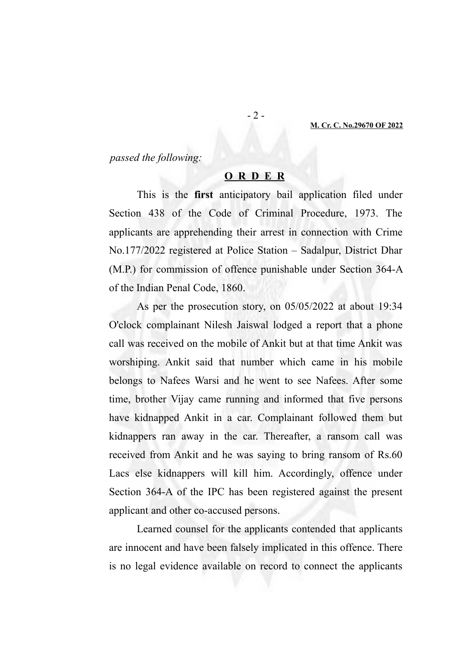*passed the following:* 

## **O R D E R**

This is the **first** anticipatory bail application filed under Section 438 of the Code of Criminal Procedure, 1973. The applicants are apprehending their arrest in connection with Crime No.177/2022 registered at Police Station – Sadalpur, District Dhar (M.P.) for commission of offence punishable under Section 364-A of the Indian Penal Code, 1860.

As per the prosecution story, on 05/05/2022 at about 19:34 O'clock complainant Nilesh Jaiswal lodged a report that a phone call was received on the mobile of Ankit but at that time Ankit was worshiping. Ankit said that number which came in his mobile belongs to Nafees Warsi and he went to see Nafees. After some time, brother Vijay came running and informed that five persons have kidnapped Ankit in a car. Complainant followed them but kidnappers ran away in the car. Thereafter, a ransom call was received from Ankit and he was saying to bring ransom of Rs.60 Lacs else kidnappers will kill him. Accordingly, offence under Section 364-A of the IPC has been registered against the present applicant and other co-accused persons.

Learned counsel for the applicants contended that applicants are innocent and have been falsely implicated in this offence. There is no legal evidence available on record to connect the applicants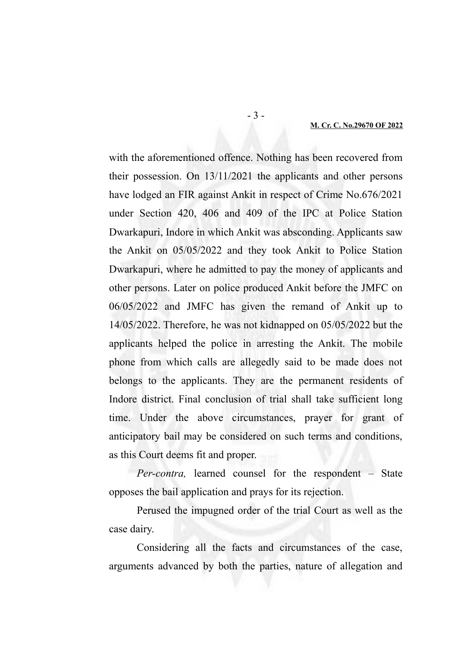#### **M. Cr. C. No.29670 OF 2022**

with the aforementioned offence. Nothing has been recovered from their possession. On 13/11/2021 the applicants and other persons have lodged an FIR against Ankit in respect of Crime No.676/2021 under Section 420, 406 and 409 of the IPC at Police Station Dwarkapuri, Indore in which Ankit was absconding. Applicants saw the Ankit on 05/05/2022 and they took Ankit to Police Station Dwarkapuri, where he admitted to pay the money of applicants and other persons. Later on police produced Ankit before the JMFC on 06/05/2022 and JMFC has given the remand of Ankit up to 14/05/2022. Therefore, he was not kidnapped on 05/05/2022 but the applicants helped the police in arresting the Ankit. The mobile phone from which calls are allegedly said to be made does not belongs to the applicants. They are the permanent residents of Indore district. Final conclusion of trial shall take sufficient long time. Under the above circumstances, prayer for grant of anticipatory bail may be considered on such terms and conditions, as this Court deems fit and proper.

*Per-contra,* learned counsel for the respondent – State opposes the bail application and prays for its rejection.

Perused the impugned order of the trial Court as well as the case dairy.

Considering all the facts and circumstances of the case, arguments advanced by both the parties, nature of allegation and